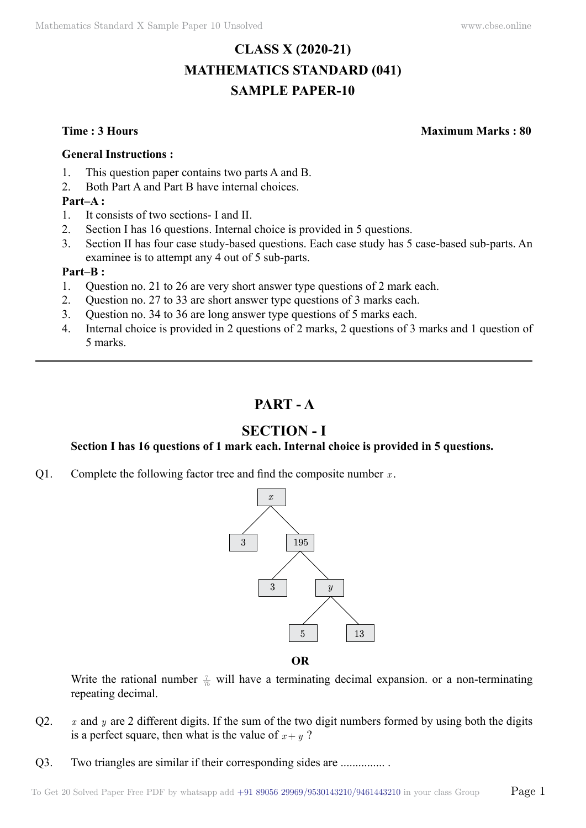# **CLASS X (2020-21) MATHEMATICS STANDARD (041) SAMPLE PAPER-10**

**Time : 3 Hours Maximum Marks : 80**

#### **General Instructions :**

- 1. This question paper contains two parts A and B.
- 2. Both Part A and Part B have internal choices.

## **Part–A :**

- 1. It consists of two sections- I and II.
- 2. Section I has 16 questions. Internal choice is provided in 5 questions.
- 3. Section II has four case study-based questions. Each case study has 5 case-based sub-parts. An examinee is to attempt any 4 out of 5 sub-parts.

### **Part–B :**

- 1. Question no. 21 to 26 are very short answer type questions of 2 mark each.
- 2. Question no. 27 to 33 are short answer type questions of 3 marks each.
- 3. Question no. 34 to 36 are long answer type questions of 5 marks each.
- 4. Internal choice is provided in 2 questions of 2 marks, 2 questions of 3 marks and 1 question of 5 marks.

# **Part - A**

# **Section - I**

## **Section I has 16 questions of 1 mark each. Internal choice is provided in 5 questions.**

Q1. Complete the following factor tree and find the composite number *x* .



 **O**

Write the rational number  $\frac{7}{75}$  will have a terminating decimal expansion. or a non-terminating repeating decimal.

- Q2.  *and*  $*y*$  *are 2 different digits. If the sum of the two digit numbers formed by using both the digits* is a perfect square, then what is the value of  $x + y$ ?
- Q3. Two triangles are similar if their corresponding sides are ................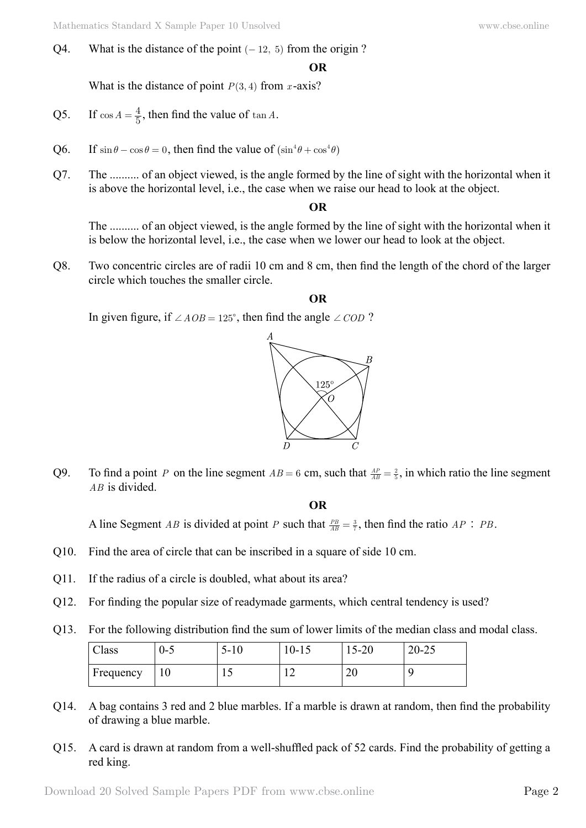Q4. What is the distance of the point  $(-12, 5)$  from the origin?

 **O**

What is the distance of point  $P(3, 4)$  from *x*-axis?

- Q5. If  $\cos A = \frac{4}{5}$ , then find the value of  $\tan A$ .
- Q6. If  $\sin \theta \cos \theta = 0$ , then find the value of  $(\sin^4 \theta + \cos^4 \theta)$
- Q7. The .......... of an object viewed, is the angle formed by the line of sight with the horizontal when it is above the horizontal level, i.e., the case when we raise our head to look at the object.

#### **O**

The .......... of an object viewed, is the angle formed by the line of sight with the horizontal when it is below the horizontal level, i.e., the case when we lower our head to look at the object.

Q8. Two concentric circles are of radii 10 cm and 8 cm, then find the length of the chord of the larger circle which touches the smaller circle.

#### **O**

In given figure, if  $\angle AOB = 125^\circ$ , then find the angle  $\angle COD$  ?



Q9. To find a point *P* on the line segment  $AB = 6$  cm, such that  $\frac{AP}{AB} = \frac{2}{5}$ , in which ratio the line segment *AB* is divided.

### **O**

A line Segment *AB* is divided at point *P* such that  $\frac{PB}{AB} = \frac{3}{7}$ , then find the ratio *AP* : *PB*.

- Q10. Find the area of circle that can be inscribed in a square of side 10 cm.
- Q11. If the radius of a circle is doubled, what about its area?
- Q12. For finding the popular size of readymade garments, which central tendency is used?
- Q13. For the following distribution find the sum of lower limits of the median class and modal class.

| $\sim$<br>Class | $0 - 5$ | $\mathcal{L}$<br>1 V | $10 - 15$ | 15-20    | $20 - 25$ |
|-----------------|---------|----------------------|-----------|----------|-----------|
| $F$ Frequency   | 1 U     |                      | ∸         | or<br>∠∪ |           |

- Q14. A bag contains 3 red and 2 blue marbles. If a marble is drawn at random, then find the probability of drawing a blue marble.
- Q15. A card is drawn at random from a well-shuffled pack of 52 cards. Find the probability of getting a red king.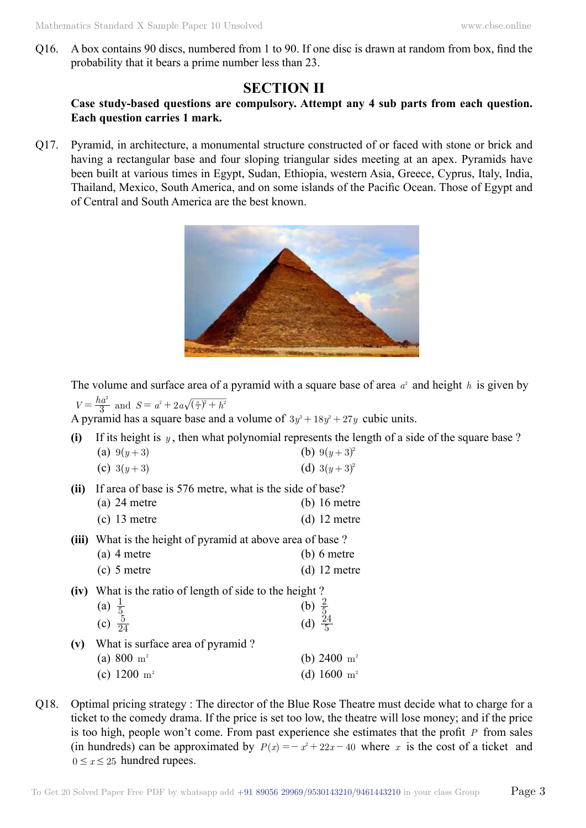Q16. A box contains 90 discs, numbered from 1 to 90. If one disc is drawn at random from box, find the probability that it bears a prime number less than 23.

# **Section II**

# **Case study-based questions are compulsory. Attempt any 4 sub parts from each question. Each question carries 1 mark.**

Q17. Pyramid, in architecture, a monumental structure constructed of or faced with stone or brick and having a rectangular base and four sloping triangular sides meeting at an apex. Pyramids have been built at various times in Egypt, Sudan, Ethiopia, western Asia, Greece, Cyprus, Italy, India, Thailand, Mexico, South America, and on some islands of the Pacific Ocean. Those of Egypt and of Central and South America are the best known.



The volume and surface area of a pyramid with a square base of area *a*<sup>2</sup> and height *h* is given by  $V = \frac{ha}{3}$  $=\frac{ha^2}{3}$  and  $S = a^2 + 2a\sqrt{(\frac{a}{2})^2 + h^2}$ 

A pyramid has a square base and a volume of  $3y^3 + 18y^2 + 27y$  cubic units.

- **(i)** If its height is *y* , then what polynomial represents the length of a side of the square base ? (a)  $9(y+3)$  (b)  $9(y+3)^2$ (c)  $3(y+3)$  (d)  $3(y+3)^2$
- **(ii)** If area of base is 576 metre, what is the side of base?
	- (a) 24 metre (b) 16 metre
	- (c)  $13$  metre (d)  $12$  metre
- **(iii)** What is the height of pyramid at above area of base ?
	- (a) 4 metre (b) 6 metre
	- $\alpha$  (c) 5 metre (d) 12 metre
- **(iv)** What is the ratio of length of side to the height ?

(a) 
$$
\frac{1}{5}
$$
  
\n(b)  $\frac{2}{5}$   
\n(c)  $\frac{5}{24}$   
\n(d)  $\frac{24}{5}$ 

- **(v)** What is surface area of pyramid ? (a) 800  $\text{m}^2$  (b) 2400  $\text{m}^2$ (c)  $1200 \text{ m}^2$  (d)  $1600 \text{ m}^2$
- Q18. Optimal pricing strategy : The director of the Blue Rose Theatre must decide what to charge for a ticket to the comedy drama. If the price is set too low, the theatre will lose money; and if the price is too high, people won't come. From past experience she estimates that the profit *P* from sales (in hundreds) can be approximated by  $P(x) = -x^2 + 22x - 40$  where x is the cost of a ticket and  $0 \le x \le 25$  hundred rupees.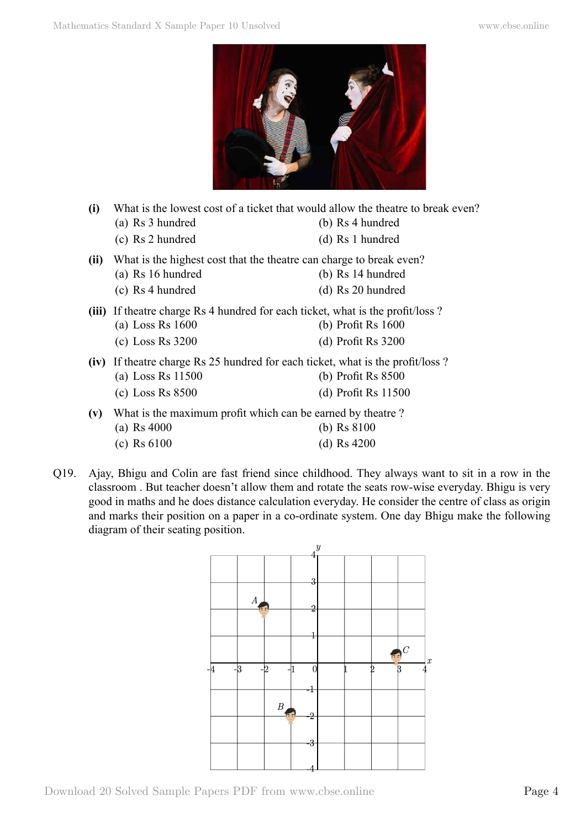

- **(i)** What is the lowest cost of a ticket that would allow the theatre to break even?
	- (a) Rs 3 hundred (b) Rs 4 hundred
	- (c) Rs 2 hundred (d) Rs 1 hundred
- **(ii)** What is the highest cost that the theatre can charge to break even? (a) Rs 16 hundred (b) Rs 14 hundred
	- (c) Rs 4 hundred (d) Rs 20 hundred
- **(iii)** If theatre charge Rs 4 hundred for each ticket, what is the profit/loss ?
	- (a) Loss Rs 1600 (b) Profit Rs 1600
	- (c) Loss Rs 3200 (d) Profit Rs 3200
- **(iv)** If theatre charge Rs 25 hundred for each ticket, what is the profit/loss ?
	- (a) Loss Rs 11500 (b) Profit Rs 8500
	- (c) Loss Rs 8500 (d) Profit Rs 11500
- **(v)** What is the maximum profit which can be earned by theatre ?
	- (a) Rs 4000 (b) Rs 8100
	- (c) Rs 6100 (d) Rs 4200
- Q19. Ajay, Bhigu and Colin are fast friend since childhood. They always want to sit in a row in the classroom . But teacher doesn't allow them and rotate the seats row-wise everyday. Bhigu is very good in maths and he does distance calculation everyday. He consider the centre of class as origin and marks their position on a paper in a co-ordinate system. One day Bhigu make the following diagram of their seating position.

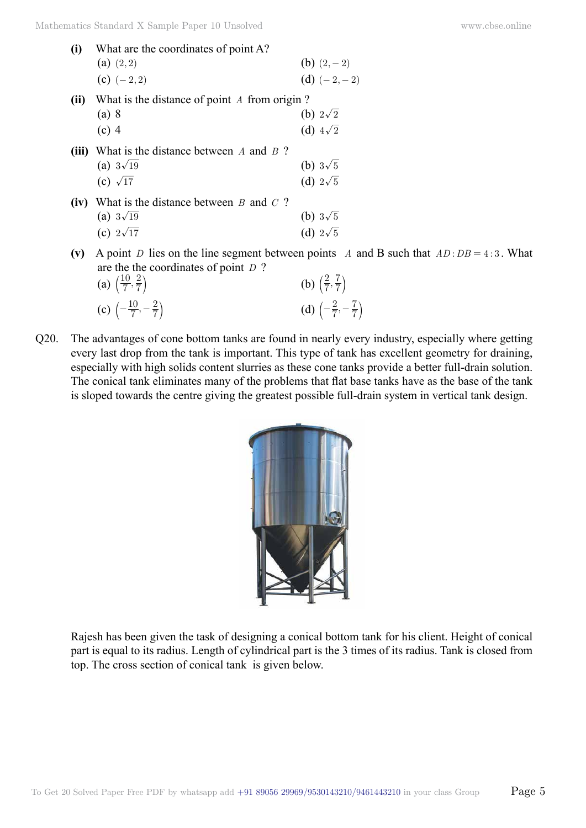| (i)   | What are the coordinates of point A?         |                 |  |  |  |
|-------|----------------------------------------------|-----------------|--|--|--|
|       | (a) $(2,2)$                                  | (b) $(2,-2)$    |  |  |  |
|       | (c) $(-2, 2)$                                | (d) $(-2,-2)$   |  |  |  |
| (ii)  | What is the distance of point A from origin? |                 |  |  |  |
|       | (a) 8                                        | (b) $2\sqrt{2}$ |  |  |  |
|       | $(c)$ 4                                      | (d) $4\sqrt{2}$ |  |  |  |
| (iii) | What is the distance between $A$ and $B$ ?   |                 |  |  |  |
|       | (a) $3\sqrt{19}$                             | (b) $3\sqrt{5}$ |  |  |  |
|       | (c) $\sqrt{17}$                              | (d) $2\sqrt{5}$ |  |  |  |
| (iv)  | What is the distance between $B$ and $C$ ?   |                 |  |  |  |
|       | (a) $3\sqrt{19}$                             | (b) $3\sqrt{5}$ |  |  |  |
|       | (c) $2\sqrt{17}$                             | (d) $2\sqrt{5}$ |  |  |  |

(v) A point *D* lies on the line segment between points *A* and B such that  $AD : DB = 4 : 3$ . What are the the coordinates of point *D* ?

| (a) $\left(\frac{10}{7}, \frac{2}{7}\right)$   | (b) $\left(\frac{2}{7},\frac{7}{7}\right)$    |
|------------------------------------------------|-----------------------------------------------|
| (c) $\left(-\frac{10}{7}, -\frac{2}{7}\right)$ | (d) $\left(-\frac{2}{7}, -\frac{7}{7}\right)$ |

Q20. The advantages of cone bottom tanks are found in nearly every industry, especially where getting every last drop from the tank is important. This type of tank has excellent geometry for draining, especially with high solids content slurries as these cone tanks provide a better full-drain solution. The conical tank eliminates many of the problems that flat base tanks have as the base of the tank is sloped towards the centre giving the greatest possible full-drain system in vertical tank design.



Rajesh has been given the task of designing a conical bottom tank for his client. Height of conical part is equal to its radius. Length of cylindrical part is the 3 times of its radius. Tank is closed from top. The cross section of conical tank is given below.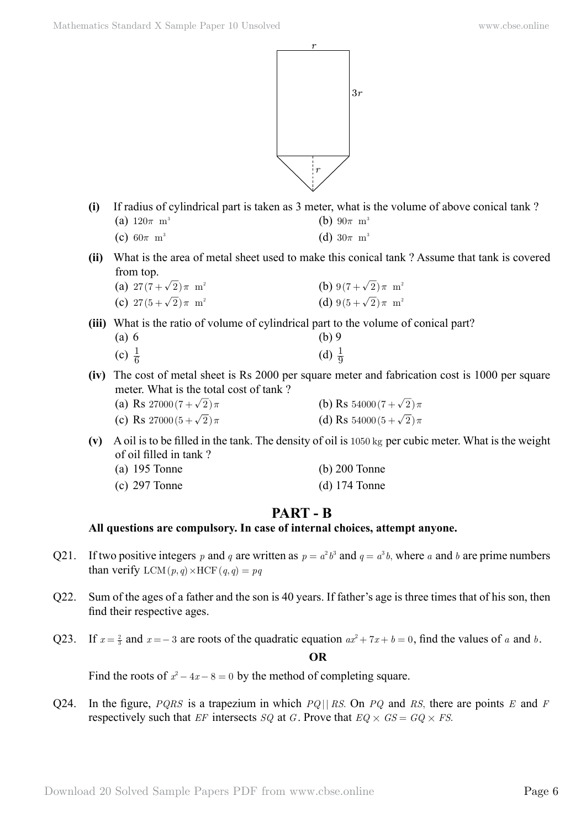

**(i)** If radius of cylindrical part is taken as 3 meter, what is the volume of above conical tank ?

| (a) $120\pi$ m <sup>3</sup> | (b) $90\pi$ m <sup>3</sup> |  |
|-----------------------------|----------------------------|--|
| (c) $60\pi$ m <sup>3</sup>  | (d) $30\pi$ m <sup>3</sup> |  |

**(ii)** What is the area of metal sheet used to make this conical tank ? Assume that tank is covered from top.

| (a) $27(7+\sqrt{2})\pi$ m <sup>2</sup> | (b) $9(7+\sqrt{2})\pi$ m <sup>2</sup> |
|----------------------------------------|---------------------------------------|
| (c) $27(5+\sqrt{2})\pi$ m <sup>2</sup> | (d) $9(5+\sqrt{2})\pi$ m <sup>2</sup> |

**(iii)** What is the ratio of volume of cylindrical part to the volume of conical part?

| (a) 6             | $(b)$ 9           |
|-------------------|-------------------|
| (c) $\frac{1}{6}$ | (d) $\frac{1}{9}$ |

**(iv)** The cost of metal sheet is Rs 2000 per square meter and fabrication cost is 1000 per square meter. What is the total cost of tank ?

| (a) Rs $27000(7+\sqrt{2})\pi$ | (b) Rs 54000 $(7 + \sqrt{2})\pi$   |
|-------------------------------|------------------------------------|
| (c) Rs $27000(5+\sqrt{2})\pi$ | (d) Rs 54000(5+ $\sqrt{2}$ ) $\pi$ |

**(v)** A oil is to be filled in the tank. The density of oil is 1050 kg per cubic meter. What is the weight of oil filled in tank ?

| (a) $195$ Tonne | $(b)$ 200 Tonne |
|-----------------|-----------------|
| $(c)$ 297 Tonne | $(d)$ 174 Tonne |

# **Part - B**

## **All questions are compulsory. In case of internal choices, attempt anyone.**

- Q21. If two positive integers p and q are written as  $p = a^2b^3$  and  $q = a^3b$ , where a and b are prime numbers than verify  $LCM(p, q) \times HCF(q, q) = pq$
- Q22. Sum of the ages of a father and the son is 40 years. If father's age is three times that of his son, then find their respective ages.
- Q23. If  $x = \frac{2}{3}$  and  $x = -3$  are roots of the quadratic equation  $ax^2 + 7x + b = 0$ , find the values of *a* and *b*.

## **O**

Find the roots of  $x^2 - 4x - 8 = 0$  by the method of completing square.

Q24. In the figure, *PQRS* is a trapezium in which *PQ* || *RS*. On *PQ* and *RS*, there are points *E* and *F* respectively such that *EF* intersects *SQ* at *G*. Prove that  $EQ \times GS = GQ \times FS$ .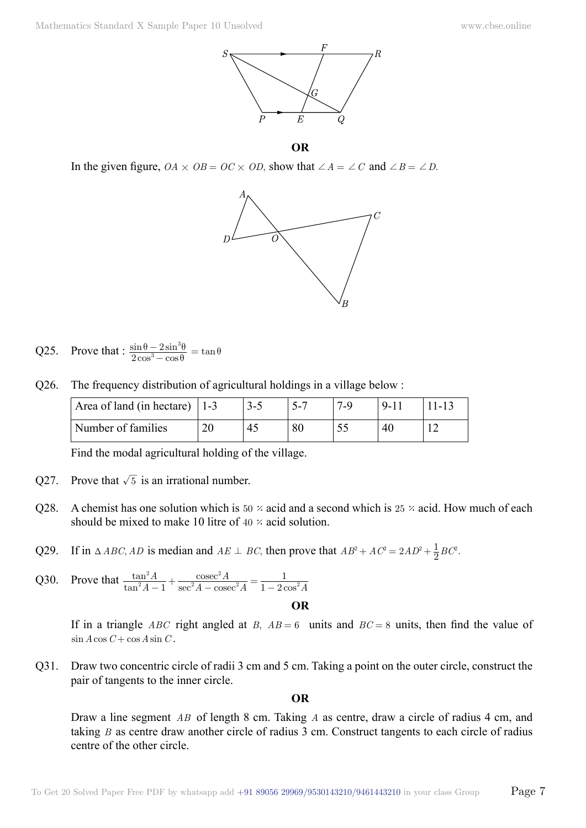



In the given figure,  $OA \times OB = OC \times OD$ , show that  $\angle A = \angle C$  and  $\angle B = \angle D$ .



Q25. Prove that : 
$$
\frac{\sin \theta - 2\sin^3 \theta}{2\cos^3 - \cos \theta} = \tan \theta
$$

Q26. The frequency distribution of agricultural holdings in a village below :

| Area of land (in hectare) $ 1-3 $ |    | $-2$ | $5-$ | '_Q | $19 - 11$ | $11-13$ |
|-----------------------------------|----|------|------|-----|-----------|---------|
| 'Number of families               | 20 | 45   | 80   |     |           |         |

Find the modal agricultural holding of the village.

- Q27. Prove that  $\sqrt{5}$  is an irrational number.
- Q28. A chemist has one solution which is  $50 \times \text{acid}$  and a second which is  $25 \times \text{acid}$ . How much of each should be mixed to make 10 litre of  $40 \times \text{acid solution}$ .
- Q29. If in  $\triangle ABC$ , *AD* is median and  $AE \perp BC$ , then prove that  $AB^2 + AC^2 = 2AD^2 + \frac{1}{2}BC^2$ .

Q30. Prove that 
$$
\frac{\tan^2 A}{\tan^2 A - 1} + \frac{\csc^2 A}{\sec^2 A - \csc^2 A} = \frac{1}{1 - 2\cos^2 A}
$$

If in a triangle *ABC* right angled at *B*, *AB* = 6 units and *BC* = 8 units, then find the value of  $\sin A \cos C + \cos A \sin C$ .

Q31. Draw two concentric circle of radii 3 cm and 5 cm. Taking a point on the outer circle, construct the pair of tangents to the inner circle.

 **O**

Draw a line segment *AB* of length 8 cm. Taking *A* as centre, draw a circle of radius 4 cm, and taking *B* as centre draw another circle of radius 3 cm. Construct tangents to each circle of radius centre of the other circle.